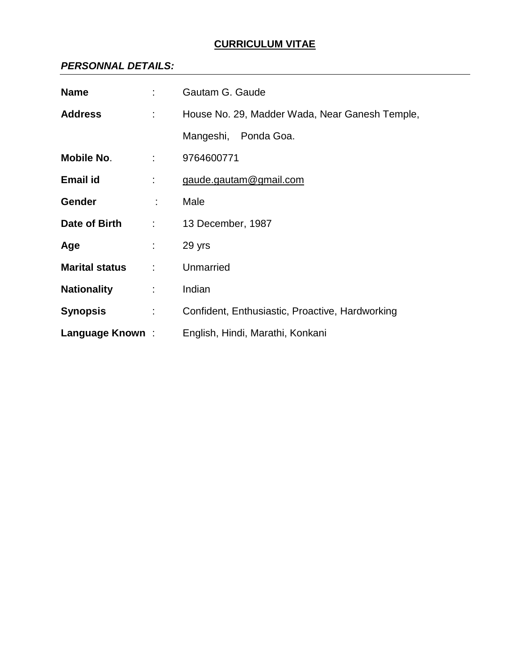# **CURRICULUM VITAE**

### *PERSONNAL DETAILS:*

| <b>Name</b>           |                              | Gautam G. Gaude                                 |  |  |
|-----------------------|------------------------------|-------------------------------------------------|--|--|
| <b>Address</b>        | $\mathbb{Z}^{\mathbb{Z}}$    | House No. 29, Madder Wada, Near Ganesh Temple,  |  |  |
|                       |                              | Mangeshi, Ponda Goa.                            |  |  |
| Mobile No.            | $\mathbb{R}^n$               | 9764600771                                      |  |  |
| Email id              |                              | gaude.gautam@gmail.com                          |  |  |
| <b>Gender</b>         | ÷.                           | Male                                            |  |  |
| Date of Birth         | $\mathcal{L}_{\mathrm{max}}$ | 13 December, 1987                               |  |  |
| Age                   | $\mathcal{L}_{\mathrm{max}}$ | 29 yrs                                          |  |  |
| <b>Marital status</b> | ÷                            | Unmarried                                       |  |  |
| <b>Nationality</b>    | ÷                            | Indian                                          |  |  |
| <b>Synopsis</b>       | $\mathcal{L}^{\text{max}}$   | Confident, Enthusiastic, Proactive, Hardworking |  |  |
| Language Known:       |                              | English, Hindi, Marathi, Konkani                |  |  |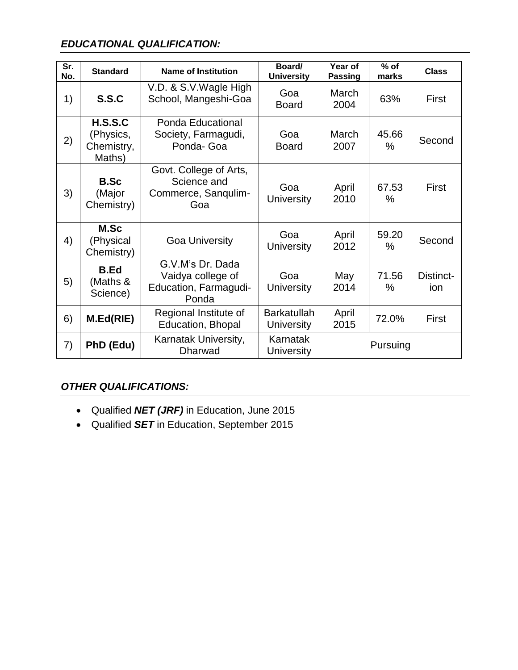# *EDUCATIONAL QUALIFICATION:*

| Sr.<br>No. | <b>Standard</b>                              | <b>Name of Institution</b>                                              | Board/<br><b>University</b>      | Year of<br><b>Passing</b> | $%$ of<br>marks | <b>Class</b>     |
|------------|----------------------------------------------|-------------------------------------------------------------------------|----------------------------------|---------------------------|-----------------|------------------|
| 1)         | S.S.C                                        | V.D. & S.V.Wagle High<br>School, Mangeshi-Goa                           | Goa<br><b>Board</b>              | March<br>2004             | 63%             | First            |
| 2)         | H.S.S.C<br>(Physics,<br>Chemistry,<br>Maths) | Ponda Educational<br>Society, Farmagudi,<br>Ponda- Goa                  | Goa<br><b>Board</b>              | March<br>2007             | 45.66<br>$\%$   | Second           |
| 3)         | <b>B.Sc</b><br>(Major<br>Chemistry)          | Govt. College of Arts,<br>Science and<br>Commerce, Sanqulim-<br>Goa     | Goa<br><b>University</b>         | April<br>2010             | 67.53<br>$\%$   | First            |
| 4)         | M.Sc<br>(Physical<br>Chemistry)              | <b>Goa University</b>                                                   | Goa<br><b>University</b>         | April<br>2012             | 59.20<br>$\%$   | Second           |
| 5)         | <b>B.Ed</b><br>(Maths &<br>Science)          | G.V.M's Dr. Dada<br>Vaidya college of<br>Education, Farmagudi-<br>Ponda | Goa<br><b>University</b>         | May<br>2014               | 71.56<br>$\%$   | Distinct-<br>ion |
| 6)         | M.Ed(RIE)                                    | Regional Institute of<br>Education, Bhopal                              | <b>Barkatullah</b><br>University | April<br>2015             | 72.0%           | First            |
| 7)         | PhD (Edu)                                    | Karnatak University,<br><b>Dharwad</b>                                  | Karnatak<br>University           | Pursuing                  |                 |                  |

## *OTHER QUALIFICATIONS:*

- Qualified *NET (JRF)* in Education, June 2015
- Qualified *SET* in Education, September 2015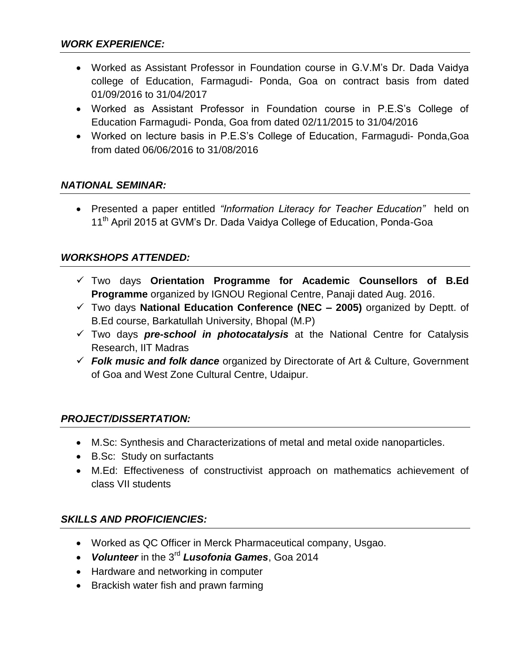- Worked as Assistant Professor in Foundation course in G.V.M's Dr. Dada Vaidya college of Education, Farmagudi- Ponda, Goa on contract basis from dated 01/09/2016 to 31/04/2017
- Worked as Assistant Professor in Foundation course in P.E.S's College of Education Farmagudi- Ponda, Goa from dated 02/11/2015 to 31/04/2016
- Worked on lecture basis in P.E.S's College of Education, Farmagudi- Ponda,Goa from dated 06/06/2016 to 31/08/2016

### *NATIONAL SEMINAR:*

 Presented a paper entitled *"Information Literacy for Teacher Education"* held on 11<sup>th</sup> April 2015 at GVM's Dr. Dada Vaidya College of Education, Ponda-Goa

### *WORKSHOPS ATTENDED:*

- Two days **Orientation Programme for Academic Counsellors of B.Ed Programme** organized by IGNOU Regional Centre, Panaji dated Aug. 2016.
- Two days **National Education Conference (NEC – 2005)** organized by Deptt. of B.Ed course, Barkatullah University, Bhopal (M.P)
- Two days *pre-school in photocatalysis* at the National Centre for Catalysis Research, IIT Madras
- *Folk music and folk dance* organized by Directorate of Art & Culture, Government of Goa and West Zone Cultural Centre, Udaipur.

### *PROJECT/DISSERTATION:*

- M.Sc: Synthesis and Characterizations of metal and metal oxide nanoparticles.
- B.Sc: Study on surfactants
- M.Ed: Effectiveness of constructivist approach on mathematics achievement of class VII students

### *SKILLS AND PROFICIENCIES:*

- Worked as QC Officer in Merck Pharmaceutical company, Usgao.
- *Volunteer* in the 3rd *Lusofonia Games*, Goa 2014
- Hardware and networking in computer
- Brackish water fish and prawn farming